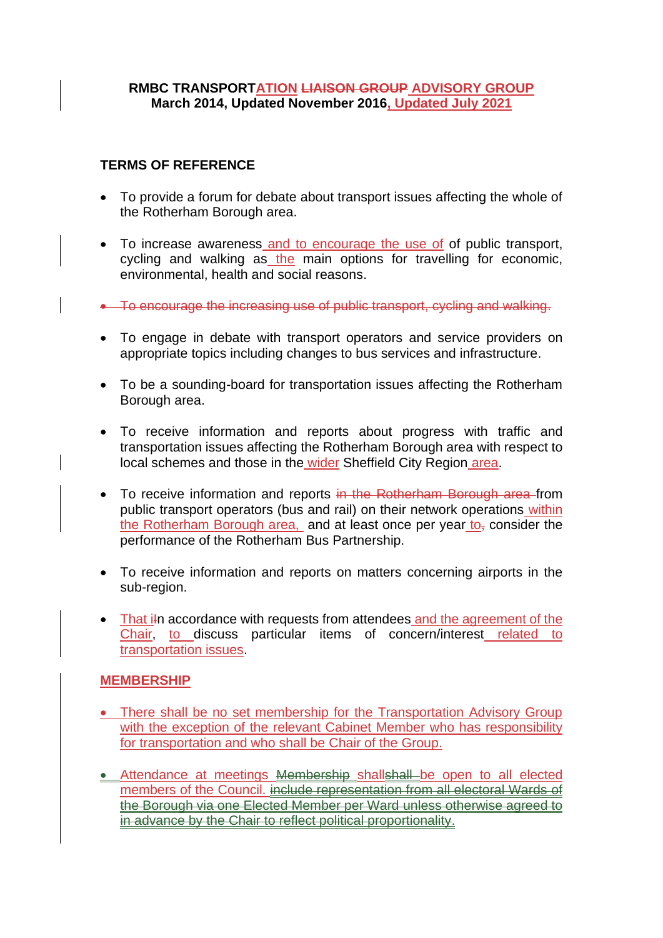## **RMBC TRANSPORTATION LIAISON GROUP ADVISORY GROUP March 2014, Updated November 2016, Updated July 2021**

## **TERMS OF REFERENCE**

- To provide a forum for debate about transport issues affecting the whole of the Rotherham Borough area.
- To increase awareness and to encourage the use of of public transport, cycling and walking as the main options for travelling for economic, environmental, health and social reasons.
- To encourage the increasing use of public transport, cycling and walking.
- To engage in debate with transport operators and service providers on appropriate topics including changes to bus services and infrastructure.
- To be a sounding-board for transportation issues affecting the Rotherham Borough area.
- To receive information and reports about progress with traffic and transportation issues affecting the Rotherham Borough area with respect to local schemes and those in the wider Sheffield City Region area.
- To receive information and reports in the Rotherham Borough area from public transport operators (bus and rail) on their network operations within the Rotherham Borough area, and at least once per year  $to<sub>z</sub>$  consider the performance of the Rotherham Bus Partnership.
- To receive information and reports on matters concerning airports in the sub-region.
- That iln accordance with requests from attendees and the agreement of the Chair, to discuss particular items of concern/interest related to transportation issues.

## **MEMBERSHIP**

- There shall be no set membership for the Transportation Advisory Group with the exception of the relevant Cabinet Member who has responsibility for transportation and who shall be Chair of the Group.
- Attendance at meetings **Membership shallshall** be open to all elected members of the Council. include representation from all electoral Wards of the Borough via one Elected Member per Ward unless otherwise agreed to in advance by the Chair to reflect political proportionality.